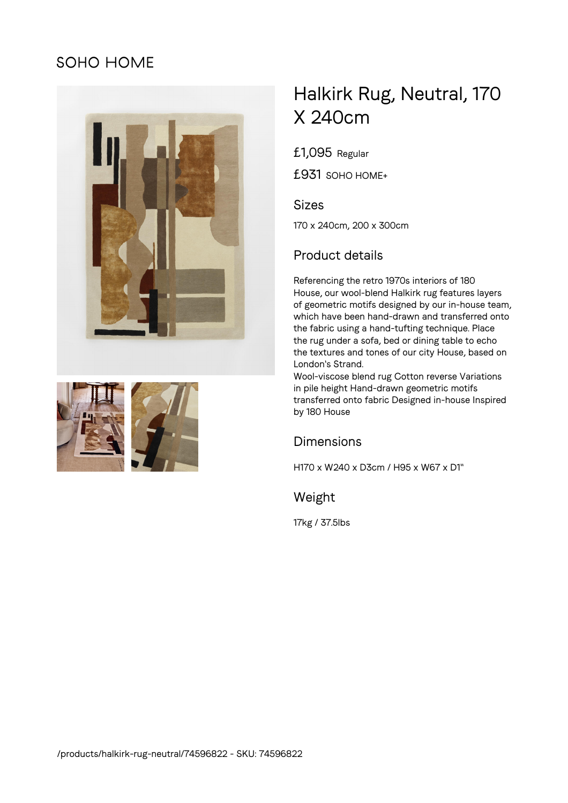## SOHO HOME





# Halkirk Rug, Neutral, 170 X 240cm

£1,095 Regular

£931 SOHO HOME+

#### Sizes

170 x 240cm, 200 x 300cm

### Product details

Referencing the retro 1970s interiors of 180 House, our wool-blend Halkirk rug features layers of geometric motifs designed by our in-house team, which have been hand-drawn and transferred onto the fabric using a hand-tufting technique. Place the rug under a sofa, bed or dining table to echo the textures and tones of our city House, based on London's Strand.

Wool-viscose blend rug Cotton reverse Variations in pile height Hand-drawn geometric motifs transferred onto fabric Designed in-house Inspired by 180 House

#### Dimensions

H170 x W240 x D3cm / H95 x W67 x D1"

Weight

17kg / 37.5lbs